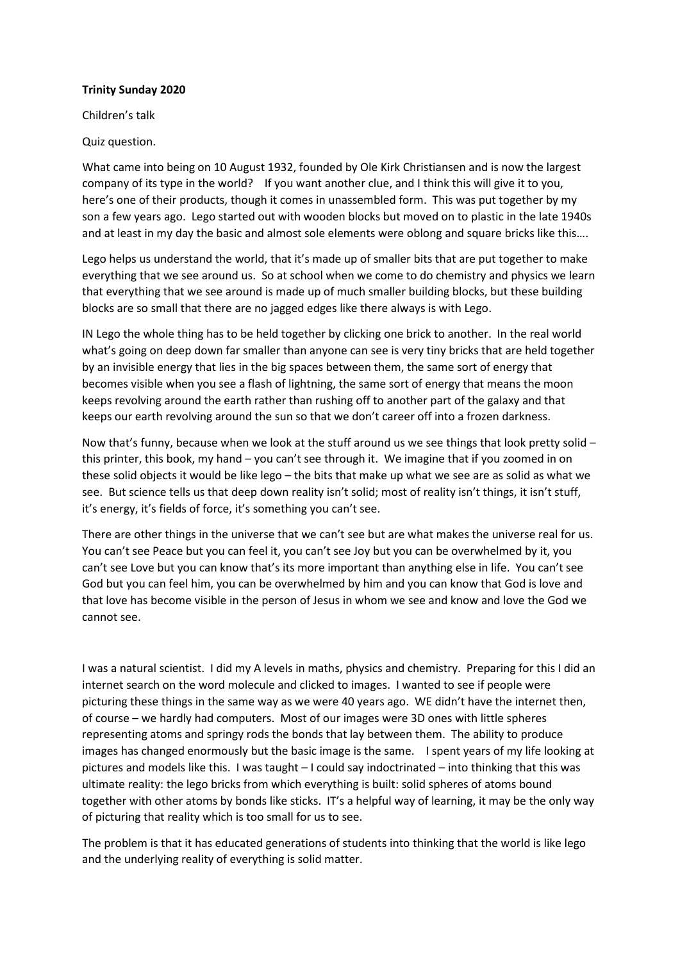## **Trinity Sunday 2020**

Children's talk

Quiz question.

What came into being on 10 August 1932, founded by Ole Kirk Christiansen and is now the largest company of its type in the world? If you want another clue, and I think this will give it to you, here's one of their products, though it comes in unassembled form. This was put together by my son a few years ago. Lego started out with wooden blocks but moved on to plastic in the late 1940s and at least in my day the basic and almost sole elements were oblong and square bricks like this….

Lego helps us understand the world, that it's made up of smaller bits that are put together to make everything that we see around us. So at school when we come to do chemistry and physics we learn that everything that we see around is made up of much smaller building blocks, but these building blocks are so small that there are no jagged edges like there always is with Lego.

IN Lego the whole thing has to be held together by clicking one brick to another. In the real world what's going on deep down far smaller than anyone can see is very tiny bricks that are held together by an invisible energy that lies in the big spaces between them, the same sort of energy that becomes visible when you see a flash of lightning, the same sort of energy that means the moon keeps revolving around the earth rather than rushing off to another part of the galaxy and that keeps our earth revolving around the sun so that we don't career off into a frozen darkness.

Now that's funny, because when we look at the stuff around us we see things that look pretty solid – this printer, this book, my hand – you can't see through it. We imagine that if you zoomed in on these solid objects it would be like lego – the bits that make up what we see are as solid as what we see. But science tells us that deep down reality isn't solid; most of reality isn't things, it isn't stuff, it's energy, it's fields of force, it's something you can't see.

There are other things in the universe that we can't see but are what makes the universe real for us. You can't see Peace but you can feel it, you can't see Joy but you can be overwhelmed by it, you can't see Love but you can know that's its more important than anything else in life. You can't see God but you can feel him, you can be overwhelmed by him and you can know that God is love and that love has become visible in the person of Jesus in whom we see and know and love the God we cannot see.

I was a natural scientist. I did my A levels in maths, physics and chemistry. Preparing for this I did an internet search on the word molecule and clicked to images. I wanted to see if people were picturing these things in the same way as we were 40 years ago. WE didn't have the internet then, of course – we hardly had computers. Most of our images were 3D ones with little spheres representing atoms and springy rods the bonds that lay between them. The ability to produce images has changed enormously but the basic image is the same. I spent years of my life looking at pictures and models like this. I was taught – I could say indoctrinated – into thinking that this was ultimate reality: the lego bricks from which everything is built: solid spheres of atoms bound together with other atoms by bonds like sticks. IT's a helpful way of learning, it may be the only way of picturing that reality which is too small for us to see.

The problem is that it has educated generations of students into thinking that the world is like lego and the underlying reality of everything is solid matter.